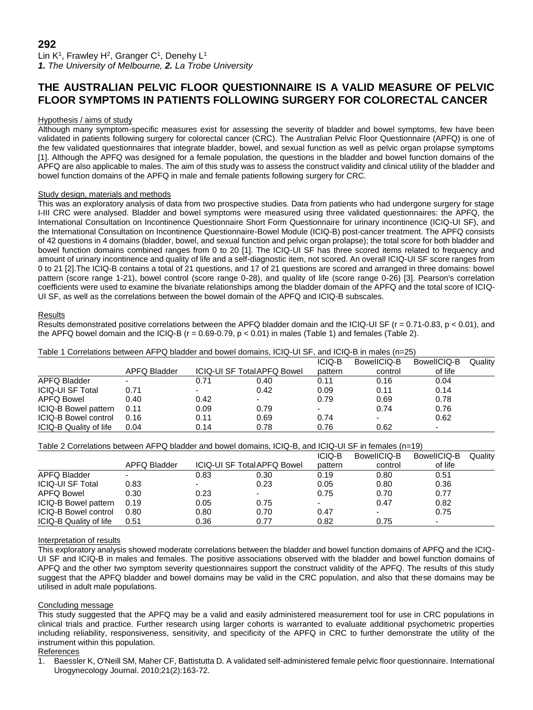Lin K<sup>1</sup>, Frawley H<sup>2</sup>, Granger C<sup>1</sup>, Denehy L<sup>1</sup> *1. The University of Melbourne, 2. La Trobe University*

# **THE AUSTRALIAN PELVIC FLOOR QUESTIONNAIRE IS A VALID MEASURE OF PELVIC FLOOR SYMPTOMS IN PATIENTS FOLLOWING SURGERY FOR COLORECTAL CANCER**

## Hypothesis / aims of study

Although many symptom-specific measures exist for assessing the severity of bladder and bowel symptoms, few have been validated in patients following surgery for colorectal cancer (CRC). The Australian Pelvic Floor Questionnaire (APFQ) is one of the few validated questionnaires that integrate bladder, bowel, and sexual function as well as pelvic organ prolapse symptoms [1]. Although the APFQ was designed for a female population, the questions in the bladder and bowel function domains of the APFQ are also applicable to males. The aim of this study was to assess the construct validity and clinical utility of the bladder and bowel function domains of the APFQ in male and female patients following surgery for CRC.

## Study design, materials and methods

This was an exploratory analysis of data from two prospective studies. Data from patients who had undergone surgery for stage I-III CRC were analysed. Bladder and bowel symptoms were measured using three validated questionnaires: the APFQ, the International Consultation on Incontinence Questionnaire Short Form Questionnaire for urinary incontinence (ICIQ-UI SF), and the International Consultation on Incontinence Questionnaire-Bowel Module (ICIQ-B) post-cancer treatment. The APFQ consists of 42 questions in 4 domains (bladder, bowel, and sexual function and pelvic organ prolapse); the total score for both bladder and bowel function domains combined ranges from 0 to 20 [1]. The ICIQ-UI SF has three scored items related to frequency and amount of urinary incontinence and quality of life and a self-diagnostic item, not scored. An overall ICIQ-UI SF score ranges from 0 to 21 [2].The ICIQ-B contains a total of 21 questions, and 17 of 21 questions are scored and arranged in three domains: bowel pattern (score range 1-21), bowel control (score range 0-28), and quality of life (score range 0-26) [3]. Pearson's correlation coefficients were used to examine the bivariate relationships among the bladder domain of the APFQ and the total score of ICIQ-UI SF, as well as the correlations between the bowel domain of the APFQ and ICIQ-B subscales.

#### Results

Results demonstrated positive correlations between the APFQ bladder domain and the ICIQ-UI SF ( $r = 0.71$ -0.83,  $p < 0.01$ ), and the APFQ bowel domain and the ICIQ-B ( $r = 0.69 - 0.79$ ,  $p < 0.01$ ) in males (Table 1) and females (Table 2).

|                             |              |                                   |      | <b>ICIQ-B</b>            | BowellCIQ-B              | BowellCIQ-B              | Quality |
|-----------------------------|--------------|-----------------------------------|------|--------------------------|--------------------------|--------------------------|---------|
|                             | APFQ Bladder | <b>ICIQ-UI SF TotalAPFQ Bowel</b> |      | pattern                  | control                  | of life                  |         |
| APFQ Bladder                |              | 0.71                              | 0.40 | 0.11                     | 0.16                     | 0.04                     |         |
| <b>ICIQ-UI SF Total</b>     | 0.71         | $\overline{\phantom{0}}$          | 0.42 | 0.09                     | 0.11                     | 0.14                     |         |
| <b>APFQ Bowel</b>           | 0.40         | 0.42                              |      | 0.79                     | 0.69                     | 0.78                     |         |
| ICIQ-B Bowel pattern        | 0.11         | 0.09                              | 0.79 | $\overline{\phantom{a}}$ | 0.74                     | 0.76                     |         |
| <b>ICIQ-B Bowel control</b> | 0.16         | 0.11                              | 0.69 | 0.74                     | $\overline{\phantom{a}}$ | 0.62                     |         |
| ICIQ-B Quality of life      | 0.04         | 0.14                              | 0.78 | 0.76                     | 0.62                     | $\overline{\phantom{0}}$ |         |

Table 1 Correlations between AFPQ bladder and bowel domains, ICIQ-UI SF, and ICIQ-B in males (n=25)

Table 2 Correlations between AFPQ bladder and bowel domains, ICIQ-B, and ICIQ-UI SF in females (n=19)

|                         |                          |                                    |                          | <b>ICIQ-B</b> | BowellCIQ-B              | BowellCIQ-B | Quality |
|-------------------------|--------------------------|------------------------------------|--------------------------|---------------|--------------------------|-------------|---------|
|                         | APFQ Bladder             | <b>ICIQ-UI SF Total APFQ Bowel</b> |                          | pattern       | control                  | of life     |         |
| APFQ Bladder            | $\overline{\phantom{0}}$ | 0.83                               | 0.30                     | 0.19          | 0.80                     | 0.51        |         |
| <b>ICIQ-UI SF Total</b> | 0.83                     | -                                  | 0.23                     | 0.05          | 0.80                     | 0.36        |         |
| <b>APFQ Bowel</b>       | 0.30                     | 0.23                               | $\overline{\phantom{a}}$ | 0.75          | 0.70                     | 0.77        |         |
| ICIQ-B Bowel pattern    | 0.19                     | 0.05                               | 0.75                     |               | 0.47                     | 0.82        |         |
| ICIQ-B Bowel control    | 0.80                     | 0.80                               | 0.70                     | 0.47          | $\overline{\phantom{0}}$ | 0.75        |         |
| ICIQ-B Quality of life  | 0.51                     | 0.36                               | 0.77                     | 0.82          | 0.75                     | -           |         |

#### Interpretation of results

This exploratory analysis showed moderate correlations between the bladder and bowel function domains of APFQ and the ICIQ-UI SF and ICIQ-B in males and females. The positive associations observed with the bladder and bowel function domains of APFQ and the other two symptom severity questionnaires support the construct validity of the APFQ. The results of this study suggest that the APFQ bladder and bowel domains may be valid in the CRC population, and also that these domains may be utilised in adult male populations.

# Concluding message

This study suggested that the APFQ may be a valid and easily administered measurement tool for use in CRC populations in clinical trials and practice. Further research using larger cohorts is warranted to evaluate additional psychometric properties including reliability, responsiveness, sensitivity, and specificity of the APFQ in CRC to further demonstrate the utility of the instrument within this population.

# **References**

1. Baessler K, O'Neill SM, Maher CF, Battistutta D. A validated self-administered female pelvic floor questionnaire. International Urogynecology Journal. 2010;21(2):163-72.